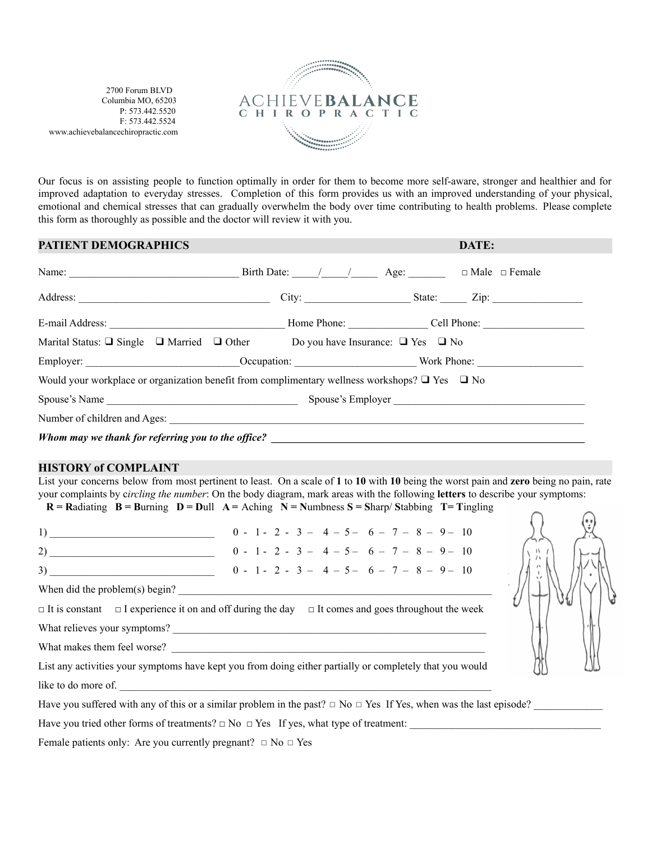2700 Forum BLVD Columbia MO, 65203 P: 573.442.5520 F: 573.442.5524 www.achievebalancechiropractic.com



Our focus is on assisting people to function optimally in order for them to become more self-aware, stronger and healthier and for improved adaptation to everyday stresses. Completion of this form provides us with an improved understanding of your physical, emotional and chemical stresses that can gradually overwhelm the body over time contributing to health problems. Please complete this form as thoroughly as possible and the doctor will review it with you.

### **PATIENT DEMOGRAPHICS DATE:**

| Name: $\frac{\text{Name:}}{\text{Value:}}$ Birth Date: $\frac{\text{Value:}}{\text{Value:}}$ Age: $\frac{\text{Value:}}{\text{Value:}}$ D Male $\frac{\text{Value:}}{\text{Value:}}$ |  |  |
|--------------------------------------------------------------------------------------------------------------------------------------------------------------------------------------|--|--|
|                                                                                                                                                                                      |  |  |
|                                                                                                                                                                                      |  |  |
| Marital Status: $\Box$ Single $\Box$ Married $\Box$ Other Do you have Insurance: $\Box$ Yes $\Box$ No                                                                                |  |  |
|                                                                                                                                                                                      |  |  |
| Would your workplace or organization benefit from complimentary wellness workshops? $\Box$ Yes $\Box$ No                                                                             |  |  |
|                                                                                                                                                                                      |  |  |
|                                                                                                                                                                                      |  |  |
| Whom may we thank for referring you to the office?                                                                                                                                   |  |  |

#### **HISTORY of COMPLAINT**

List your concerns below from most pertinent to least. On a scale of **1** to **10** with **10** being the worst pain and **zero** being no pain, rate your complaints by c*ircling the number*: On the body diagram, mark areas with the following **letters** to describe your symptoms:

 $R =$ Radiating  $B =$ Burning  $D =$  Dull  $A =$  Aching  $N =$  Numbness  $S =$  Sharp/Stabbing  $T =$  Tingling

1) \_\_\_\_\_\_\_\_\_\_\_\_\_\_\_\_\_\_\_\_\_\_\_\_\_\_\_\_\_\_\_ 0 - 1 - 2 - 3 – 4 – 5 – 6 – 7 – 8 – 9 – 10 2) \_\_\_\_\_\_\_\_\_\_\_\_\_\_\_\_\_\_\_\_\_\_\_\_\_\_\_\_\_\_\_ 0 - 1 - 2 - 3 – 4 – 5 – 6 – 7 – 8 – 9 – 10  $3)$  0 - 1 - 2 - 3 - 4 - 5 - 6 - 7 - 8 - 9 - 10 When did the problem $(s)$  begin?  $\Box$  It is constant  $\Box$  I experience it on and off during the day  $\Box$  It comes and goes throughout the week What relieves your symptoms? \_\_\_\_\_\_\_\_\_\_\_\_\_\_\_\_\_\_\_\_\_\_\_\_\_\_\_\_\_\_\_\_\_\_\_\_\_\_\_\_\_\_\_\_\_\_\_\_\_\_\_\_\_\_\_\_\_\_\_ What makes them feel worse? List any activities your symptoms have kept you from doing either partially or completely that you would



like to do more of.

Have you suffered with any of this or a similar problem in the past?  $\Box$  No  $\Box$  Yes If Yes, when was the last episode?

Have you tried other forms of treatments?  $\Box$  No  $\Box$  Yes If yes, what type of treatment:

Female patients only: Are you currently pregnant?  $\Box$  No  $\Box$  Yes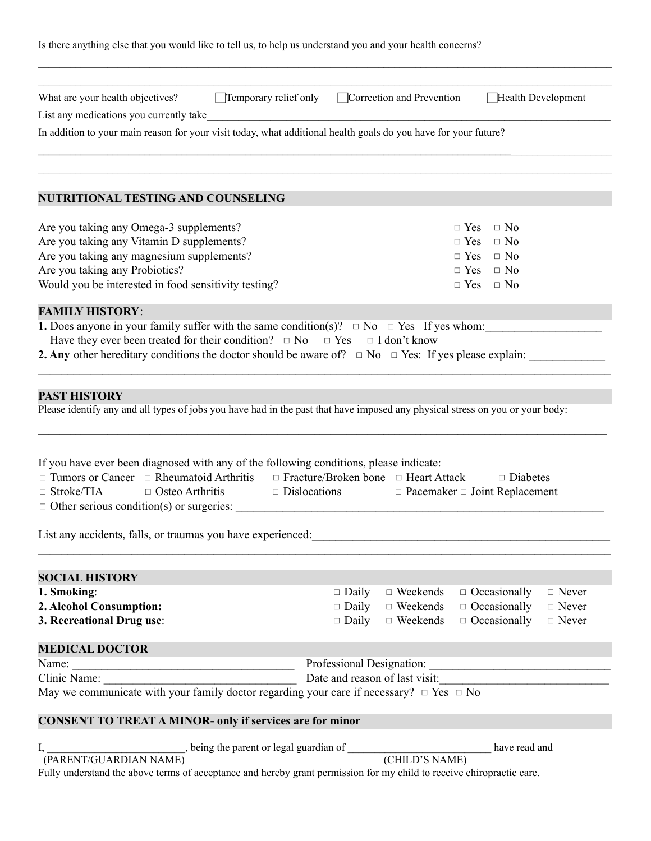| Is there anything else that you would like to tell us, to help us understand you and your health concerns? |
|------------------------------------------------------------------------------------------------------------|
|------------------------------------------------------------------------------------------------------------|

| List any medications you currently take<br>In addition to your main reason for your visit today, what additional health goals do you have for your future?<br><b>NUTRITIONAL TESTING AND COUNSELING</b><br>Are you taking any Omega-3 supplements?<br>Are you taking any Vitamin D supplements?<br>Are you taking any magnesium supplements?<br>Are you taking any Probiotics?<br>Would you be interested in food sensitivity testing?<br><b>FAMILY HISTORY:</b><br><b>1.</b> Does anyone in your family suffer with the same condition(s)? $\Box$ No $\Box$ Yes If yes whom:<br>Have they ever been treated for their condition? $\Box$ No $\Box$ Yes $\Box$ I don't know<br><b>2. Any</b> other hereditary conditions the doctor should be aware of? $\Box$ No $\Box$ Yes: If yes please explain: | $\Box$ No<br>$\Box$ Yes<br>$\Box$ Yes<br>$\Box$ No<br>$\Box$ Yes<br>$\Box$ No<br>$\Box$ Yes $\Box$ No<br>$\Box$ Yes<br>$\Box$ No |
|-----------------------------------------------------------------------------------------------------------------------------------------------------------------------------------------------------------------------------------------------------------------------------------------------------------------------------------------------------------------------------------------------------------------------------------------------------------------------------------------------------------------------------------------------------------------------------------------------------------------------------------------------------------------------------------------------------------------------------------------------------------------------------------------------------|----------------------------------------------------------------------------------------------------------------------------------|
|                                                                                                                                                                                                                                                                                                                                                                                                                                                                                                                                                                                                                                                                                                                                                                                                     |                                                                                                                                  |
|                                                                                                                                                                                                                                                                                                                                                                                                                                                                                                                                                                                                                                                                                                                                                                                                     |                                                                                                                                  |
|                                                                                                                                                                                                                                                                                                                                                                                                                                                                                                                                                                                                                                                                                                                                                                                                     |                                                                                                                                  |
|                                                                                                                                                                                                                                                                                                                                                                                                                                                                                                                                                                                                                                                                                                                                                                                                     |                                                                                                                                  |
|                                                                                                                                                                                                                                                                                                                                                                                                                                                                                                                                                                                                                                                                                                                                                                                                     |                                                                                                                                  |
|                                                                                                                                                                                                                                                                                                                                                                                                                                                                                                                                                                                                                                                                                                                                                                                                     |                                                                                                                                  |
|                                                                                                                                                                                                                                                                                                                                                                                                                                                                                                                                                                                                                                                                                                                                                                                                     |                                                                                                                                  |
|                                                                                                                                                                                                                                                                                                                                                                                                                                                                                                                                                                                                                                                                                                                                                                                                     |                                                                                                                                  |
|                                                                                                                                                                                                                                                                                                                                                                                                                                                                                                                                                                                                                                                                                                                                                                                                     |                                                                                                                                  |
|                                                                                                                                                                                                                                                                                                                                                                                                                                                                                                                                                                                                                                                                                                                                                                                                     |                                                                                                                                  |
|                                                                                                                                                                                                                                                                                                                                                                                                                                                                                                                                                                                                                                                                                                                                                                                                     |                                                                                                                                  |
|                                                                                                                                                                                                                                                                                                                                                                                                                                                                                                                                                                                                                                                                                                                                                                                                     |                                                                                                                                  |
|                                                                                                                                                                                                                                                                                                                                                                                                                                                                                                                                                                                                                                                                                                                                                                                                     |                                                                                                                                  |
|                                                                                                                                                                                                                                                                                                                                                                                                                                                                                                                                                                                                                                                                                                                                                                                                     |                                                                                                                                  |
| <b>PAST HISTORY</b>                                                                                                                                                                                                                                                                                                                                                                                                                                                                                                                                                                                                                                                                                                                                                                                 |                                                                                                                                  |
| Please identify any and all types of jobs you have had in the past that have imposed any physical stress on you or your body:                                                                                                                                                                                                                                                                                                                                                                                                                                                                                                                                                                                                                                                                       |                                                                                                                                  |
| If you have ever been diagnosed with any of the following conditions, please indicate:<br>$\Box$ Tumors or Cancer $\Box$ Rheumatoid Arthritis<br>$\Box$ Stroke/TIA<br>$\Box$ Dislocations<br>$\Box$ Osteo Arthritis<br>$\Box$ Other serious condition(s) or surgeries:                                                                                                                                                                                                                                                                                                                                                                                                                                                                                                                              | $\Box$ Fracture/Broken bone $\Box$ Heart Attack<br>$\Box$ Diabetes<br>$\Box$ Pacemaker $\Box$ Joint Replacement                  |
| List any accidents, falls, or traumas you have experienced:                                                                                                                                                                                                                                                                                                                                                                                                                                                                                                                                                                                                                                                                                                                                         |                                                                                                                                  |
| <b>SOCIAL HISTORY</b>                                                                                                                                                                                                                                                                                                                                                                                                                                                                                                                                                                                                                                                                                                                                                                               |                                                                                                                                  |
| 1. Smoking:                                                                                                                                                                                                                                                                                                                                                                                                                                                                                                                                                                                                                                                                                                                                                                                         | $\Box$ Weekends<br>$\Box$ Occasionally<br>$\Box$ Daily<br>$\Box$ Never                                                           |
| 2. Alcohol Consumption:                                                                                                                                                                                                                                                                                                                                                                                                                                                                                                                                                                                                                                                                                                                                                                             | $\Box$ Daily $\Box$ Weekends $\Box$ Occasionally<br>$\Box$ Never                                                                 |
| 3. Recreational Drug use:                                                                                                                                                                                                                                                                                                                                                                                                                                                                                                                                                                                                                                                                                                                                                                           | $\Box$ Daily $\Box$ Weekends $\Box$ Occasionally<br>$\hfill \Box$ Never                                                          |
| <b>MEDICAL DOCTOR</b>                                                                                                                                                                                                                                                                                                                                                                                                                                                                                                                                                                                                                                                                                                                                                                               |                                                                                                                                  |
| Name:<br><u> 1988 - Johann Barbara, martxa amerikan personal (</u>                                                                                                                                                                                                                                                                                                                                                                                                                                                                                                                                                                                                                                                                                                                                  | Professional Designation:                                                                                                        |
|                                                                                                                                                                                                                                                                                                                                                                                                                                                                                                                                                                                                                                                                                                                                                                                                     | Date and reason of last visit:                                                                                                   |
| May we communicate with your family doctor regarding your care if necessary? $\Box$ Yes $\Box$ No                                                                                                                                                                                                                                                                                                                                                                                                                                                                                                                                                                                                                                                                                                   |                                                                                                                                  |
| <b>CONSENT TO TREAT A MINOR- only if services are for minor</b>                                                                                                                                                                                                                                                                                                                                                                                                                                                                                                                                                                                                                                                                                                                                     |                                                                                                                                  |
| $I_{\star}$                                                                                                                                                                                                                                                                                                                                                                                                                                                                                                                                                                                                                                                                                                                                                                                         | have read and                                                                                                                    |
| being the parent or legal guardian of (CHILD'S NAME)<br>(PARENT/GUARDIAN NAME)                                                                                                                                                                                                                                                                                                                                                                                                                                                                                                                                                                                                                                                                                                                      |                                                                                                                                  |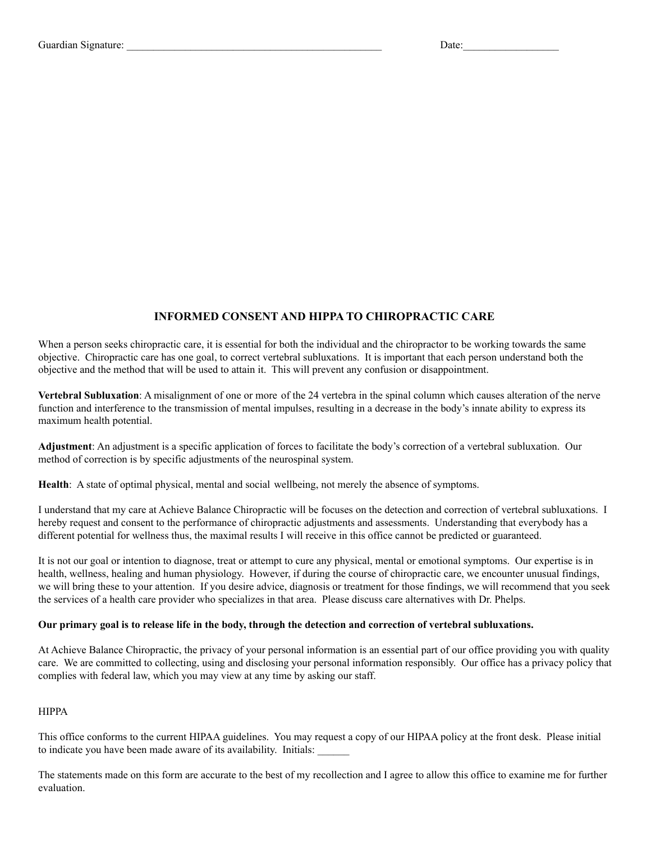## **INFORMED CONSENT AND HIPPA TO CHIROPRACTIC CARE**

When a person seeks chiropractic care, it is essential for both the individual and the chiropractor to be working towards the same objective. Chiropractic care has one goal, to correct vertebral subluxations. It is important that each person understand both the objective and the method that will be used to attain it. This will prevent any confusion or disappointment.

**Vertebral Subluxation**: A misalignment of one or more of the 24 vertebra in the spinal column which causes alteration of the nerve function and interference to the transmission of mental impulses, resulting in a decrease in the body's innate ability to express its maximum health potential.

**Adjustment**: An adjustment is a specific application of forces to facilitate the body's correction of a vertebral subluxation. Our method of correction is by specific adjustments of the neurospinal system.

**Health**: A state of optimal physical, mental and social wellbeing, not merely the absence of symptoms.

I understand that my care at Achieve Balance Chiropractic will be focuses on the detection and correction of vertebral subluxations. I hereby request and consent to the performance of chiropractic adjustments and assessments. Understanding that everybody has a different potential for wellness thus, the maximal results I will receive in this office cannot be predicted or guaranteed.

It is not our goal or intention to diagnose, treat or attempt to cure any physical, mental or emotional symptoms. Our expertise is in health, wellness, healing and human physiology. However, if during the course of chiropractic care, we encounter unusual findings, we will bring these to your attention. If you desire advice, diagnosis or treatment for those findings, we will recommend that you seek the services of a health care provider who specializes in that area. Please discuss care alternatives with Dr. Phelps.

# Our primary goal is to release life in the body, through the detection and correction of vertebral subluxations.

At Achieve Balance Chiropractic, the privacy of your personal information is an essential part of our office providing you with quality care. We are committed to collecting, using and disclosing your personal information responsibly. Our office has a privacy policy that complies with federal law, which you may view at any time by asking our staff.

#### HIPPA

This office conforms to the current HIPAA guidelines. You may request a copy of our HIPAA policy at the front desk. Please initial to indicate you have been made aware of its availability. Initials:

The statements made on this form are accurate to the best of my recollection and I agree to allow this office to examine me for further evaluation.